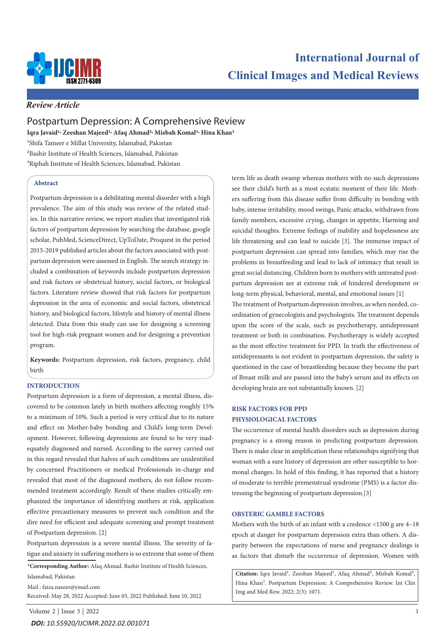

# **International Journal of Clinical Images and Medical Reviews**

# *Review Article*

# Postpartum Depression: A Comprehensive Review

**Iqra Javaid1, Zeeshan Majeed1, Afaq Ahmad2, Misbah Komal3, Hina Khan3** 

1Shifa Tameer e Millat University, Islamabad, Pakistan 2Bashir Institute of Health Sciences, Islamabad, Pakistan

3Riphah Institute of Health Sciences, Islamabad, Pakistan

# **Abstract**

Postpartum depression is a debilitating mental disorder with a high prevalence. The aim of this study was review of the related studies. In this narrative review, we report studies that investigated risk factors of postpartum depression by searching the database, google scholar, PubMed, ScienceDirect, UpToDate, Proquest in the period 2015-2019 published articles about the factors associated with postpartum depression were assessed in English. The search strategy included a combination of keywords include postpartum depression and risk factors or obstetrical history, social factors, or biological factors. Literature review showed that risk factors for postpartum depression in the area of economic and social factors, obstetrical history, and biological factors, lifestyle and history of mental illness detected. Data from this study can use for designing a screening tool for high-risk pregnant women and for designing a prevention program.

**Keywords:** Postpartum depression, risk factors, pregnancy, child birth

## **INTRODUCTION**

Postpartum depression is a form of depression, a mental illness, discovered to be common lately in birth mothers affecting roughly 15% to a minimum of 10%. Such a period is very critical due to its nature and effect on Mother-baby bonding and Child's long-term Development. However, following depressions are found to be very inadequately diagnosed and nursed. According to the survey carried out in this regard revealed that halves of such conditions are unidentified by concerned Practitioners or medical Professionals in-charge and revealed that most of the diagnosed mothers, do not follow recommended treatment accordingly. Result of these studies critically emphasized the importance of identifying mothers at risk, application effective precautionary measures to prevent such condition and the dire need for efficient and adequate screening and prompt treatment of Postpartum depression. [2]

Postpartum depression is a severe mental illness. The severity of fatigue and anxiety in suffering mothers is so extreme that some of them

**\*Corresponding Author:** Afaq Ahmad. Bashir Institute of Health Sciences, Islamabad, Pakistan

Mail : faiza.naseer@ymail.com Received: May 28, 2022 Accepted: June 03, 2022 Published: June 10, 2022 term life as death swamp whereas mothers with no such depressions see their child's birth as a most ecstatic moment of their life. Mothers suffering from this disease suffer from difficulty in bonding with baby, intense irritability, mood swings, Panic attacks, withdrawn from family members, excessive crying, changes in appetite, Harming and suicidal thoughts. Extreme feelings of inability and hopelessness are life threatening and can lead to suicide [3]. The immense impact of postpartum depression can spread into families, which may rise the problems in breastfeeding and lead to lack of intimacy that result in great social distancing. Children born to mothers with untreated postpartum depression are at extreme risk of hindered development or long-term physical, behavioral, mental, and emotional issues [1] The treatment of Postpartum depression involves, as when needed, coordination of gynecologists and psychologists. The treatment depends upon the score of the scale, such as psychotherapy, antidepressant treatment or both in combination. Psychotherapy is widely accepted as the most effective treatment for PPD. In truth the effectiveness of

antidepressants is not evident in postpartum depression, the safety is questioned in the case of breastfeeding because they become the part of Breast milk and are passed into the baby's serum and its effects on developing brain are not substantially known. [2]

# **RISK FACTORS FOR PPD PHYSIOLOGICAL FACTORS**

The occurrence of mental health disorders such as depression during pregnancy is a strong reason in predicting postpartum depression. There is make clear in amplification these relationships signifying that woman with a sure history of depression are other susceptible to hormonal changes. In hold of this finding, it has reported that a history of moderate to terrible premenstrual syndrome (PMS) is a factor distressing the beginning of postpartum depression.[3]

# **OBSTERIC GAMBLE FACTORS**

Mothers with the birth of an infant with a credence <1500 g are 4–18 epoch at danger for postpartum depression extra than others. A disparity between the expectations of nurse and pregnancy dealings is as factors that disturb the occurrence of depression. Women with

Citation: Iqra Javaid<sup>1</sup>, Zeeshan Majeed<sup>1</sup>, Afaq Ahmad<sup>2</sup>, Misbah Komal<sup>3</sup>, Hina Khan3. Postpartum Depression: A Comprehensive Review. Int Clin Img and Med Rew. 2022; 2(3): 1071.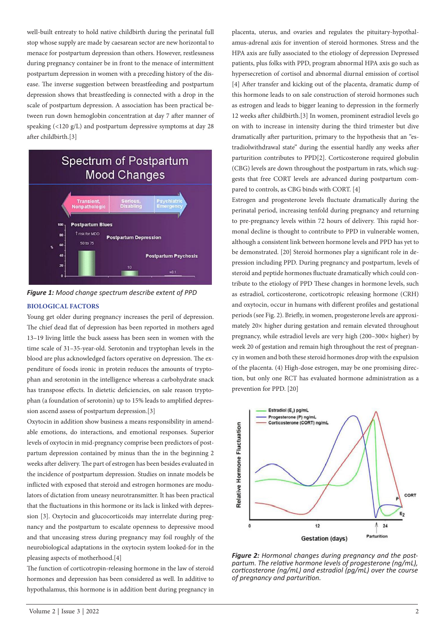well-built entreaty to hold native childbirth during the perinatal full stop whose supply are made by caesarean sector are new horizontal to menace for postpartum depression than others. However, restlessness during pregnancy container be in front to the menace of intermittent postpartum depression in women with a preceding history of the disease. The inverse suggestion between breastfeeding and postpartum depression shows that breastfeeding is connected with a drop in the scale of postpartum depression. A association has been practical between run down hemoglobin concentration at day 7 after manner of speaking (<120 g/L) and postpartum depressive symptoms at day 28 after childbirth.[3]



*Figure 1: Mood change spectrum describe extent of PPD* 

#### **BIOLOGICAL FACTORS**

Young get older during pregnancy increases the peril of depression. The chief dead flat of depression has been reported in mothers aged 13–19 living little the buck assess has been seen in women with the time scale of 31–35-year-old. Serotonin and tryptophan levels in the blood are plus acknowledged factors operative on depression. The expenditure of foods ironic in protein reduces the amounts of tryptophan and serotonin in the intelligence whereas a carbohydrate snack has transpose effects. In dietetic deficiencies, on sale reason tryptophan (a foundation of serotonin) up to 15% leads to amplified depression ascend assess of postpartum depression.[3]

Oxytocin in addition show business a means responsibility in amendable emotions, do interactions, and emotional responses. Superior levels of oxytocin in mid-pregnancy comprise been predictors of postpartum depression contained by minus than the in the beginning 2 weeks after delivery. The part of estrogen has been besides evaluated in the incidence of postpartum depression. Studies on innate models be inflicted with exposed that steroid and estrogen hormones are modulators of dictation from uneasy neurotransmitter. It has been practical that the fluctuations in this hormone or its lack is linked with depression [3]. Oxytocin and glucocorticoids may interrelate during pregnancy and the postpartum to escalate openness to depressive mood and that unceasing stress during pregnancy may foil roughly of the neurobiological adaptations in the oxytocin system looked-for in the pleasing aspects of motherhood.[4]

The function of corticotropin-releasing hormone in the law of steroid hormones and depression has been considered as well. In additive to hypothalamus, this hormone is in addition bent during pregnancy in

placenta, uterus, and ovaries and regulates the pituitary-hypothalamus-adrenal axis for invention of steroid hormones. Stress and the HPA axis are fully associated to the etiology of depression Depressed patients, plus folks with PPD, program abnormal HPA axis go such as hypersecretion of cortisol and abnormal diurnal emission of cortisol [4] After transfer and kicking out of the placenta, dramatic dump of this hormone leads to on sale construction of steroid hormones such as estrogen and leads to bigger leaning to depression in the formerly 12 weeks after childbirth.[3] In women, prominent estradiol levels go on with to increase in intensity during the third trimester but dive dramatically after parturition, primary to the hypothesis that an "estradiolwithdrawal state" during the essential hardly any weeks after parturition contributes to PPD[2]. Corticosterone required globulin (CBG) levels are down throughout the postpartum in rats, which suggests that free CORT levels are advanced during postpartum compared to controls, as CBG binds with CORT. [4]

Estrogen and progesterone levels fluctuate dramatically during the perinatal period, increasing tenfold during pregnancy and returning to pre-pregnancy levels within 72 hours of delivery. This rapid hormonal decline is thought to contribute to PPD in vulnerable women, although a consistent link between hormone levels and PPD has yet to be demonstrated. [20] Steroid hormones play a significant role in depression including PPD. During pregnancy and postpartum, levels of steroid and peptide hormones fluctuate dramatically which could contribute to the etiology of PPD These changes in hormone levels, such as estradiol, corticosterone, corticotropic releasing hormone (CRH) and oxytocin, occur in humans with different profiles and gestational periods (see Fig. 2). Briefly, in women, progesterone levels are approximately 20× higher during gestation and remain elevated throughout pregnancy, while estradiol levels are very high (200–300× higher) by week 20 of gestation and remain high throughout the rest of pregnancy in women and both these steroid hormones drop with the expulsion of the placenta. (4) High-dose estrogen, may be one promising direction, but only one RCT has evaluated hormone administration as a prevention for PPD. [20]



*Figure 2: Hormonal changes during pregnancy and the postpartum. The relative hormone levels of progesterone (ng/mL), corticosterone (ng/mL) and estradiol (pg/mL) over the course of pregnancy and parturition.*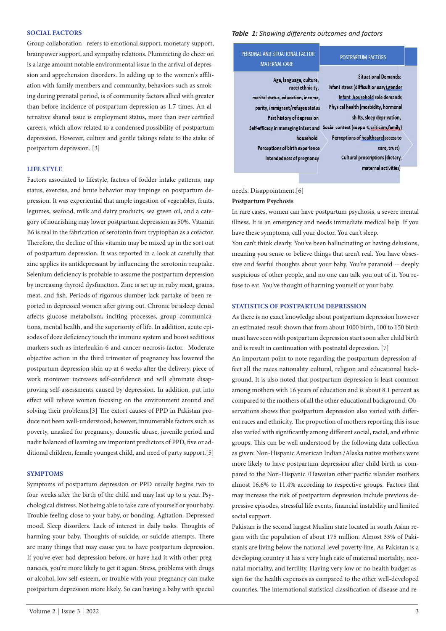#### **SOCIAL FACTORS**

Group collaboration refers to emotional support, monetary support, brainpower support, and sympathy relations. Plummeting do cheer on is a large amount notable environmental issue in the arrival of depression and apprehension disorders. In adding up to the women's affiliation with family members and community, behaviors such as smoking during prenatal period, is of community factors allied with greater than before incidence of postpartum depression as 1.7 times. An alternative shared issue is employment status, more than ever certified careers, which allow related to a condensed possibility of postpartum depression. However, culture and gentle takings relate to the stake of postpartum depression. [3]

# **LIFE STYLE**

Factors associated to lifestyle, factors of fodder intake patterns, nap status, exercise, and brute behavior may impinge on postpartum depression. It was experiential that ample ingestion of vegetables, fruits, legumes, seafood, milk and dairy products, sea green oil, and a category of nourishing may lower postpartum depression as 50%. Vitamin B6 is real in the fabrication of serotonin from tryptophan as a cofactor. Therefore, the decline of this vitamin may be mixed up in the sort out of postpartum depression. It was reported in a look at carefully that zinc applies its antidepressant by influencing the serotonin reuptake. Selenium deficiency is probable to assume the postpartum depression by increasing thyroid dysfunction. Zinc is set up in ruby meat, grains, meat, and fish. Periods of rigorous slumber lack partake of been reported in depressed women after giving out. Chronic be asleep denial affects glucose metabolism, inciting processes, group communications, mental health, and the superiority of life. In addition, acute episodes of doze deficiency touch the immune system and boost seditious markers such as interleukin-6 and cancer necrosis factor. Moderate objective action in the third trimester of pregnancy has lowered the postpartum depression shin up at 6 weeks after the delivery. piece of work moreover increases self-confidence and will eliminate disapproving self-assessments caused by depression. In addition, put into effect will relieve women focusing on the environment around and solving their problems.[3] The extort causes of PPD in Pakistan produce not been well-understood; however, innumerable factors such as poverty, unasked for pregnancy, domestic abuse, juvenile period and nadir balanced of learning are important predictors of PPD, five or additional children, female youngest child, and need of party support.[5]

#### **SYMPTOMS**

Symptoms of postpartum depression or PPD usually begins two to four weeks after the birth of the child and may last up to a year. Psychological distress. Not being able to take care of yourself or your baby. Trouble feeling close to your baby, or bonding. Agitation. Depressed mood. Sleep disorders. Lack of interest in daily tasks. Thoughts of harming your baby. Thoughts of suicide, or suicide attempts. There are many things that may cause you to have postpartum depression. If you've ever had depression before, or have had it with other pregnancies, you're more likely to get it again. Stress, problems with drugs or alcohol, low self-esteem, or trouble with your pregnancy can make postpartum depression more likely. So can having a baby with special

#### *Table 1: Showing differents outcomes and factors*

| <b>SONAL AND SITUATIONAL FACTOR</b><br><b>MATERNAL CARE</b>                                                                                                                                                                                                             | <b>POSTPARTUM FACTORS</b>                                                                                                                                                                                                                                                                                                         |
|-------------------------------------------------------------------------------------------------------------------------------------------------------------------------------------------------------------------------------------------------------------------------|-----------------------------------------------------------------------------------------------------------------------------------------------------------------------------------------------------------------------------------------------------------------------------------------------------------------------------------|
| Age, language, culture,<br>race/ethnicity,<br>marital status, education, income,<br>parity, immigrant/refugee status<br>Past history of depression<br>Self-efficacy in managing infant and<br>household<br>Perceptions of birth experience<br>Intendedness of pregnancy | <b>Situational Demands:</b><br>Infant stress (difficult or easy), gender<br>Infant, household role demands<br>Physical health (morbidity, hormonal<br>shifts, sleep deprivation,<br>Social context (support, criticism, family)<br>Perceptions of healthcare(access to<br>care, trust)<br><b>Cultural proscriptions (dietary,</b> |
|                                                                                                                                                                                                                                                                         | maternal activities)                                                                                                                                                                                                                                                                                                              |

needs. Disappointment.[6]

# **Postpartum Psychosis**

PFI

In rare cases, women can have postpartum psychosis, a severe mental illness. It is an emergency and needs immediate medical help. If you have these symptoms, call your doctor. You can't sleep.

You can't think clearly. You've been hallucinating or having delusions, meaning you sense or believe things that aren't real. You have obsessive and fearful thoughts about your baby. You're paranoid -- deeply suspicious of other people, and no one can talk you out of it. You refuse to eat. You've thought of harming yourself or your baby.

#### **STATISTICS OF POSTPARTUM DEPRESSION**

As there is no exact knowledge about postpartum depression however an estimated result shown that from about 1000 birth, 100 to 150 birth must have seen with postpartum depression start soon after child birth and is result in continuation with postnatal depression. [7]

An important point to note regarding the postpartum depression affect all the races nationality cultural, religion and educational background. It is also noted that postpartum depression is least common among mothers with 16 years of education and is about 8.1 percent as compared to the mothers of all the other educational background. Observations shows that postpartum depression also varied with different races and ethnicity. The proportion of mothers reporting this issue also varied with significantly among different social, racial, and ethnic groups. This can be well understood by the following data collection as given: Non-Hispanic American Indian /Alaska native mothers were more likely to have postpartum depression after child birth as compared to the Non-Hispanic /Hawaiian other pacific islander mothers almost 16.6% to 11.4% according to respective groups. Factors that may increase the risk of postpartum depression include previous depressive episodes, stressful life events, financial instability and limited social support.

Pakistan is the second largest Muslim state located in south Asian region with the population of about 175 million. Almost 33% of Pakistanis are living below the national level poverty line. As Pakistan is a developing country it has a very high rate of maternal mortality, neonatal mortality, and fertility. Having very low or no health budget assign for the health expenses as compared to the other well-developed countries. The international statistical classification of disease and re-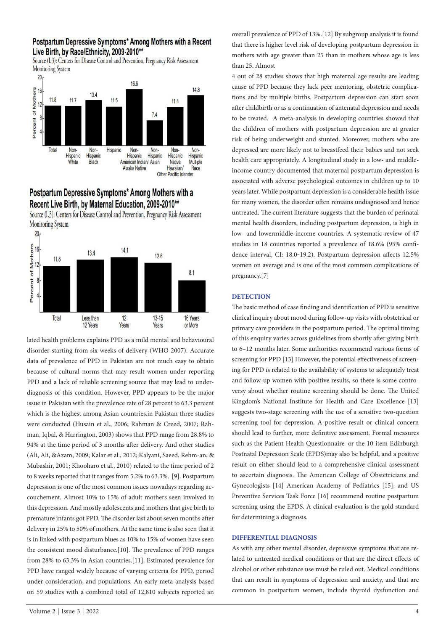# Postpartum Depressive Symptoms\* Among Mothers with a Recent Live Birth, by Race/Ethnicity, 2009-2010\*\*

Source (I.3): Centers for Disease Control and Prevention, Pregnancy Risk Assessment **Monitoring System** 



# Postpartum Depressive Symptoms\* Among Mothers with a Recent Live Birth, by Maternal Education, 2009-2010\*\*



Source (I.3): Centers for Disease Control and Prevention, Pregnancy Risk Assessment Monitoring System

lated health problems explains PPD as a mild mental and behavioural disorder starting from six weeks of delivery (WHO 2007). Accurate data of prevalence of PPD in Pakistan are not much easy to obtain because of cultural norms that may result women under reporting PPD and a lack of reliable screening source that may lead to underdiagnosis of this condition. However, PPD appears to be the major issue in Pakistan with the prevalence rate of 28 percent to 63.3 percent which is the highest among Asian countries.in Pakistan three studies were conducted (Husain et al., 2006; Rahman & Creed, 2007; Rahman, Iqbal, & Harrington, 2003) shows that PPD range from 28.8% to 94% at the time period of 3 months after delivery. And other studies (Ali, Ali, &Azam, 2009; Kalar et al., 2012; Kalyani, Saeed, Rehm-an, & Mubashir, 2001; Khooharo et al., 2010) related to the time period of 2 to 8 weeks reported that it ranges from 5.2% to 63.3%. [9]. Postpartum depression is one of the most common issues nowadays regarding accouchement. Almost 10% to 15% of adult mothers seen involved in this depression. And mostly adolescents and mothers that give birth to premature infants got PPD. The disorder last about seven months after delivery in 25% to 50% of mothers. At the same time is also seen that it is in linked with postpartum blues as 10% to 15% of women have seen the consistent mood disturbance.[10]. The prevalence of PPD ranges from 28% to 63.3% in Asian countries.[11]. Estimated prevalence for PPD have ranged widely because of varying criteria for PPD, period under consideration, and populations. An early meta-analysis based on 59 studies with a combined total of 12,810 subjects reported an

overall prevalence of PPD of 13%.[12] By subgroup analysis it is found that there is higher level risk of developing postpartum depression in mothers with age greater than 25 than in mothers whose age is less than 25. Almost

4 out of 28 studies shows that high maternal age results are leading cause of PPD because they lack peer mentoring, obstetric complications and by multiple births. Postpartum depression can start soon after childbirth or as a continuation of antenatal depression and needs to be treated. A meta-analysis in developing countries showed that the children of mothers with postpartum depression are at greater risk of being underweight and stunted. Moreover, mothers who are depressed are more likely not to breastfeed their babies and not seek health care appropriately. A longitudinal study in a low- and middleincome country documented that maternal postpartum depression is associated with adverse psychological outcomes in children up to 10 years later. While postpartum depression is a considerable health issue for many women, the disorder often remains undiagnosed and hence untreated. The current literature suggests that the burden of perinatal mental health disorders, including postpartum depression, is high in low- and lowermiddle-income countries. A systematic review of 47 studies in 18 countries reported a prevalence of 18.6% (95% confidence interval, CI: 18.0-19.2). Postpartum depression affects 12.5% women on average and is one of the most common complications of pregnancy.[7]

# **DETECTION**

The basic method of case finding and identification of PPD is sensitive clinical inquiry about mood during follow-up visits with obstetrical or primary care providers in the postpartum period. The optimal timing of this enquiry varies across guidelines from shortly after giving birth to 6–12 months later. Some authorities recommend various forms of screening for PPD [13] However, the potential effectiveness of screening for PPD is related to the availability of systems to adequately treat and follow-up women with positive results, so there is some controversy about whether routine screening should be done. The United Kingdom's National Institute for Health and Care Excellence [13] suggests two-stage screening with the use of a sensitive two-question screening tool for depression. A positive result or clinical concern should lead to further, more definitive assessment. Formal measures such as the Patient Health Questionnaire–or the 10-item Edinburgh Postnatal Depression Scale (EPDS)may also be helpful, and a positive result on either should lead to a comprehensive clinical assessment to ascertain diagnosis. The American College of Obstetricians and Gynecologists [14] American Academy of Pediatrics [15], and US Preventive Services Task Force [16] recommend routine postpartum screening using the EPDS. A clinical evaluation is the gold standard for determining a diagnosis.

#### **DIFFERENTIAL DIAGNOSIS**

As with any other mental disorder, depressive symptoms that are related to untreated medical conditions or that are the direct effects of alcohol or other substance use must be ruled out. Medical conditions that can result in symptoms of depression and anxiety, and that are common in postpartum women, include thyroid dysfunction and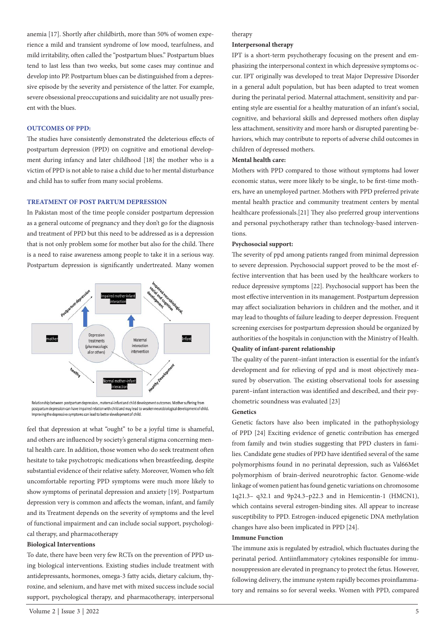anemia [17]. Shortly after childbirth, more than 50% of women experience a mild and transient syndrome of low mood, tearfulness, and mild irritability, often called the "postpartum blues." Postpartum blues tend to last less than two weeks, but some cases may continue and develop into PP. Postpartum blues can be distinguished from a depressive episode by the severity and persistence of the latter. For example, severe obsessional preoccupations and suicidality are not usually present with the blues.

## **OUTCOMES OF PPD:**

The studies have consistently demonstrated the deleterious effects of postpartum depression (PPD) on cognitive and emotional development during infancy and later childhood [18] the mother who is a victim of PPD is not able to raise a child due to her mental disturbance and child has to suffer from many social problems.

## **TREATMENT OF POST PARTUM DEPRESSION**

In Pakistan most of the time people consider postpartum depression as a general outcome of pregnancy and they don't go for the diagnosis and treatment of PPD but this need to be addressed as is a depression that is not only problem some for mother but also for the child. There is a need to raise awareness among people to take it in a serious way. Postpartum depression is significantly undertreated. Many women



Relationship between postpartum depression, maternal-infant and child development outcomes. Mother suffering from postpartum depression can have impaired relation with child and may lead to weaken neurobiological development of child Improving the depressive symptoms can lead to better development of child.

feel that depression at what "ought" to be a joyful time is shameful, and others are influenced by society's general stigma concerning mental health care. In addition, those women who do seek treatment often hesitate to take psychotropic medications when breastfeeding, despite substantial evidence of their relative safety. Moreover, Women who felt uncomfortable reporting PPD symptoms were much more likely to show symptoms of perinatal depression and anxiety [19]. Postpartum depression very is common and affects the woman, infant, and family and its Treatment depends on the severity of symptoms and the level of functional impairment and can include social support, psychological therapy, and pharmacotherapy

#### **Biological Interventions**

To date, there have been very few RCTs on the prevention of PPD using biological interventions. Existing studies include treatment with antidepressants, hormones, omega-3 fatty acids, dietary calcium, thyroxine, and selenium, and have met with mixed success include social support, psychological therapy, and pharmacotherapy, interpersonal

#### therapy

#### **Interpersonal therapy**

IPT is a short-term psychotherapy focusing on the present and emphasizing the interpersonal context in which depressive symptoms occur. IPT originally was developed to treat Major Depressive Disorder in a general adult population, but has been adapted to treat women during the perinatal period. Maternal attachment, sensitivity and parenting style are essential for a healthy maturation of an infant's social, cognitive, and behavioral skills and depressed mothers often display less attachment, sensitivity and more harsh or disrupted parenting behaviors, which may contribute to reports of adverse child outcomes in children of depressed mothers.

# **Mental health care:**

Mothers with PPD compared to those without symptoms had lower economic status, were more likely to be single, to be first-time mothers, have an unemployed partner. Mothers with PPD preferred private mental health practice and community treatment centers by mental healthcare professionals.[21] They also preferred group interventions and personal psychotherapy rather than technology-based interventions.

#### **Psychosocial support:**

The severity of ppd among patients ranged from minimal depression to severe depression. Psychosocial support proved to be the most effective intervention that has been used by the healthcare workers to reduce depressive symptoms [22]. Psychosocial support has been the most effective intervention in its management. Postpartum depression may affect socialization behaviors in children and the mother, and it may lead to thoughts of failure leading to deeper depression. Frequent screening exercises for postpartum depression should be organized by authorities of the hospitals in conjunction with the Ministry of Health.

# **Quality of infant-parent relationship**

The quality of the parent–infant interaction is essential for the infant's development and for relieving of ppd and is most objectively measured by observation. The existing observational tools for assessing parent–infant interaction was identified and described, and their psychometric soundness was evaluated [23]

#### **Genetics**

Genetic factors have also been implicated in the pathophysiology of PPD [24] Exciting evidence of genetic contribution has emerged from family and twin studies suggesting that PPD clusters in families. Candidate gene studies of PPD have identified several of the same polymorphisms found in no perinatal depression, such as Val66Met polymorphism of brain-derived neurotrophic factor. Genome-wide linkage of women patient has found genetic variations on chromosome 1q21.3– q32.1 and 9p24.3–p22.3 and in Hemicentin-1 (HMCN1), which contains several estrogen-binding sites. All appear to increase susceptibility to PPD. Estrogen-induced epigenetic DNA methylation changes have also been implicated in PPD [24].

## **Immune Function**

The immune axis is regulated by estradiol, which fluctuates during the perinatal period. Antiinflammatory cytokines responsible for immunosuppression are elevated in pregnancy to protect the fetus. However, following delivery, the immune system rapidly becomes proinflammatory and remains so for several weeks. Women with PPD, compared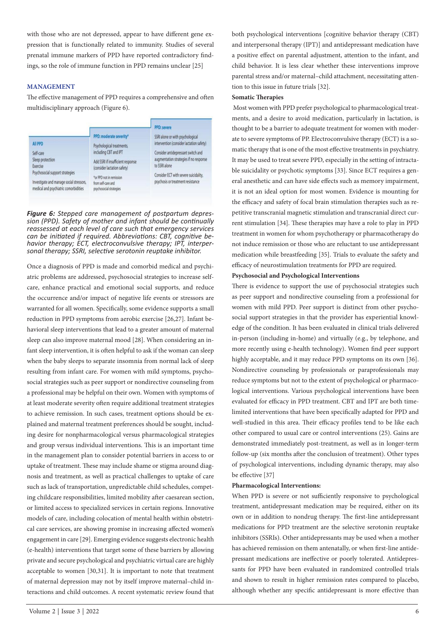with those who are not depressed, appear to have different gene expression that is functionally related to immunity. Studies of several prenatal immune markers of PPD have reported contradictory findings, so the role of immune function in PPD remains unclear [25]

## **MANAGEMENT**

The effective management of PPD requires a comprehensive and often multidisciplinary approach (Figure 6).



*Figure 6: Stepped care management of postpartum depression (PPD). Safety of mother and infant should be continually reassessed at each level of care such that emergency services can be initiated if required. Abbreviations: CBT, cognitive behavior therapy; ECT, electroconvulsive therapy; IPT, interpersonal therapy; SSRI, selective serotonin reuptake inhibitor.* 

Once a diagnosis of PPD is made and comorbid medical and psychiatric problems are addressed, psychosocial strategies to increase selfcare, enhance practical and emotional social supports, and reduce the occurrence and/or impact of negative life events or stressors are warranted for all women. Specifically, some evidence supports a small reduction in PPD symptoms from aerobic exercise [26,27]. Infant behavioral sleep interventions that lead to a greater amount of maternal sleep can also improve maternal mood [28]. When considering an infant sleep intervention, it is often helpful to ask if the woman can sleep when the baby sleeps to separate insomnia from normal lack of sleep resulting from infant care. For women with mild symptoms, psychosocial strategies such as peer support or nondirective counseling from a professional may be helpful on their own. Women with symptoms of at least moderate severity often require additional treatment strategies to achieve remission. In such cases, treatment options should be explained and maternal treatment preferences should be sought, including desire for nonpharmacological versus pharmacological strategies and group versus individual interventions. This is an important time in the management plan to consider potential barriers in access to or uptake of treatment. These may include shame or stigma around diagnosis and treatment, as well as practical challenges to uptake of care such as lack of transportation, unpredictable child schedules, competing childcare responsibilities, limited mobility after caesarean section, or limited access to specialized services in certain regions. Innovative models of care, including colocation of mental health within obstetrical care services, are showing promise in increasing affected women's engagement in care [29]. Emerging evidence suggests electronic health (e-health) interventions that target some of these barriers by allowing private and secure psychological and psychiatric virtual care are highly acceptable to women [30,31]. It is important to note that treatment of maternal depression may not by itself improve maternal–child interactions and child outcomes. A recent systematic review found that

#### **Somatic Therapies**

 Most women with PPD prefer psychological to pharmacological treatments, and a desire to avoid medication, particularly in lactation, is thought to be a barrier to adequate treatment for women with moderate to severe symptoms of PP. Electroconvulsive therapy (ECT) is a somatic therapy that is one of the most effective treatments in psychiatry. It may be used to treat severe PPD, especially in the setting of intractable suicidality or psychotic symptoms [33]. Since ECT requires a general anesthetic and can have side effects such as memory impairment, it is not an ideal option for most women. Evidence is mounting for the efficacy and safety of focal brain stimulation therapies such as repetitive transcranial magnetic stimulation and transcranial direct current stimulation [34]. These therapies may have a role to play in PPD treatment in women for whom psychotherapy or pharmacotherapy do not induce remission or those who are reluctant to use antidepressant medication while breastfeeding [35]. Trials to evaluate the safety and efficacy of neurostimulation treatments for PPD are required.

#### **Psychosocial and Psychological Interventions**

There is evidence to support the use of psychosocial strategies such as peer support and nondirective counseling from a professional for women with mild PPD. Peer support is distinct from other psychosocial support strategies in that the provider has experiential knowledge of the condition. It has been evaluated in clinical trials delivered in-person (including in-home) and virtually (e.g., by telephone, and more recently using e-health technology). Women find peer support highly acceptable, and it may reduce PPD symptoms on its own [36]. Nondirective counseling by professionals or paraprofessionals may reduce symptoms but not to the extent of psychological or pharmacological interventions. Various psychological interventions have been evaluated for efficacy in PPD treatment. CBT and IPT are both timelimited interventions that have been specifically adapted for PPD and well-studied in this area. Their efficacy profiles tend to be like each other compared to usual care or control interventions (25). Gains are demonstrated immediately post-treatment, as well as in longer-term follow-up (six months after the conclusion of treatment). Other types of psychological interventions, including dynamic therapy, may also be effective [37]

#### **Pharmacological Interventions:**

When PPD is severe or not sufficiently responsive to psychological treatment, antidepressant medication may be required, either on its own or in addition to nondrug therapy. The first-line antidepressant medications for PPD treatment are the selective serotonin reuptake inhibitors (SSRIs). Other antidepressants may be used when a mother has achieved remission on them antenatally, or when first-line antidepressant medications are ineffective or poorly tolerated. Antidepressants for PPD have been evaluated in randomized controlled trials and shown to result in higher remission rates compared to placebo, although whether any specific antidepressant is more effective than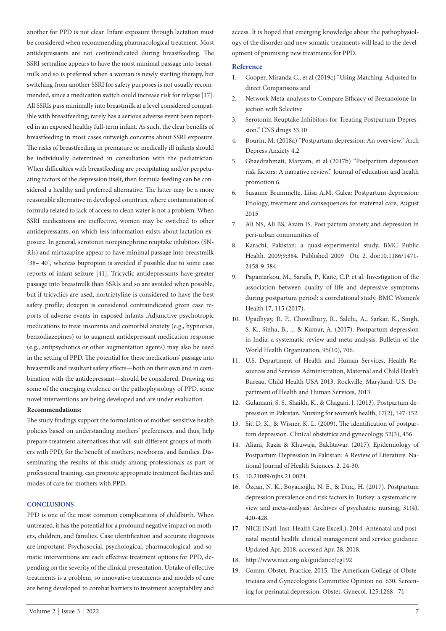another for PPD is not clear. Infant exposure through lactation must be considered when recommending pharmacological treatment. Most antidepressants are not contraindicated during breastfeeding. The SSRI sertraline appears to have the most minimal passage into breastmilk and so is preferred when a woman is newly starting therapy, but switching from another SSRI for safety purposes is not usually recommended, since a medication switch could increase risk for relapse [17]. All SSRIs pass minimally into breastmilk at a level considered compatible with breastfeeding; rarely has a serious adverse event been reported in an exposed healthy full-term infant. As such, the clear benefits of breastfeeding in most cases outweigh concerns about SSRI exposure. The risks of breastfeeding in premature or medically ill infants should be individually determined in consultation with the pediatrician. When difficulties with breastfeeding are precipitating and/or perpetuating factors of the depression itself, then formula feeding can be considered a healthy and preferred alternative. The latter may be a more reasonable alternative in developed countries, where contamination of formula related to lack of access to clean water is not a problem. When SSRI medications are ineffective, women may be switched to other antidepressants, on which less information exists about lactation exposure. In general, serotonin norepinephrine reuptake inhibitors (SN-RIs) and mirtazapine appear to have minimal passage into breastmilk [38– 40], whereas bupropion is avoided if possible due to some case reports of infant seizure [41]. Tricyclic antidepressants have greater passage into breastmilk than SSRIs and so are avoided when possible, but if tricyclics are used, nortriptyline is considered to have the best safety profile; doxepin is considered contraindicated given case reports of adverse events in exposed infants .Adjunctive psychotropic medications to treat insomnia and comorbid anxiety (e.g., hypnotics, benzodiazepines) or to augment antidepressant medication response (e.g., antipsychotics or other augmentation agents) may also be used in the setting of PPD. The potential for these medications' passage into breastmilk and resultant safety effects—both on their own and in combination with the antidepressant—should be considered. Drawing on some of the emerging evidence on the pathophysiology of PPD, some novel interventions are being developed and are under evaluation.

#### **Recommendations:**

The study findings support the formulation of mother-sensitive health policies based on understanding mothers' preferences, and thus, help prepare treatment alternatives that will suit different groups of mothers with PPD, for the benefit of mothers, newborns, and families. Disseminating the results of this study among professionals as part of professional training, can promote appropriate treatment facilities and modes of care for mothers with PPD.

# **CONCLUSIONS**

PPD is one of the most common complications of childbirth. When untreated, it has the potential for a profound negative impact on mothers, children, and families. Case identification and accurate diagnosis are important. Psychosocial, psychological, pharmacological, and somatic interventions are each effective treatment options for PPD, depending on the severity of the clinical presentation. Uptake of effective treatments is a problem, so innovative treatments and models of care are being developed to combat barriers to treatment acceptability and

access. It is hoped that emerging knowledge about the pathophysiology of the disorder and new somatic treatments will lead to the development of promising new treatments for PPD.

#### **Reference**

- 1. Cooper, Miranda C., et al (2019c) "Using Matching-Adjusted Indirect Comparisons and
- 2. Network Meta-analyses to Compare Efficacy of Brexanolone Injection with Selective
- 3. Serotonin Reuptake Inhibitors for Treating Postpartum Depression." CNS drugs 33.10
- 4. Bourin, M. (2018a) "Postpartum depression: An overview." Arch Depress Anxiety 4.2
- 5. Ghaedrahmati, Maryam, et al (2017b) "Postpartum depression risk factors: A narrative review." Journal of education and health promotion 6.
- 6. Susanne Brummelte, Liisa A.M. Galea: Postpartum depression: Etiology, treatment and consequences for maternal care, August 2015
- 7. Ali NS, Ali BS, Azam IS. Post partum anxiety and depression in peri-urban communities of
- 8. Karachi, Pakistan: a quasi-experimental study. BMC Public Health. 2009;9:384. Published 2009 Otc 2. doi:10.1186/1471- 2458-9-384
- 9. Papamarkou, M., Sarafis, P., Kaite, C.P. et al. Investigation of the association between quality of life and depressive symptoms during postpartum period: a correlational study. BMC Women's Health 17, 115 (2017).
- 10. Upadhyay, R. P., Chowdhury, R., Salehi, A., Sarkar, K., Singh, S. K., Sinha, B., ... & Kumar, A. (2017). Postpartum depression in India: a systematic review and meta-analysis. Bulletin of the World Health Organization, 95(10), 706.
- 11. U.S. Department of Health and Human Services, Health Resources and Services Administration, Maternal and Child Health Bureau. Child Health USA 2013. Rockville, Maryland: U.S. Department of Health and Human Services, 2013.
- 12. Gulamani, S. S., Shaikh, K., & Chagani, J. (2013). Postpartum depression in Pakistan. Nursing for women's health, 17(2), 147-152.
- 13. Sit, D. K., & Wisner, K. L. (2009). The identification of postpartum depression. Clinical obstetrics and gynecology, 52(3), 456
- 14. Aliani, Razia & Khuwaja, Bakhtawar. (2017). Epidemiology of Postpartum Depression in Pakistan: A Review of Literature. National Journal of Health Sciences. 2. 24-30.
- 15. 10.21089/njhs.21.0024..
- 16. Özcan, N. K., Boyacıoğlu, N. E., & Dinç, H. (2017). Postpartum depression prevalence and risk factors in Turkey: a systematic review and meta-analysis. Archives of psychiatric nursing, 31(4), 420-428.
- 17. NICE (Natl. Inst. Health Care Excell.). 2014. Antenatal and postnatal mental health: clinical management and service guidance. Updated Apr. 2018, accessed Apr. 28, 2018.
- 18. http://www.nice.org.uk/guidance/cg192
- 19. Comm. Obstet. Practice. 2015. The American College of Obstetricians and Gynecologists Committee Opinion no. 630. Screening for perinatal depression. Obstet. Gynecol. 125:1268– 71